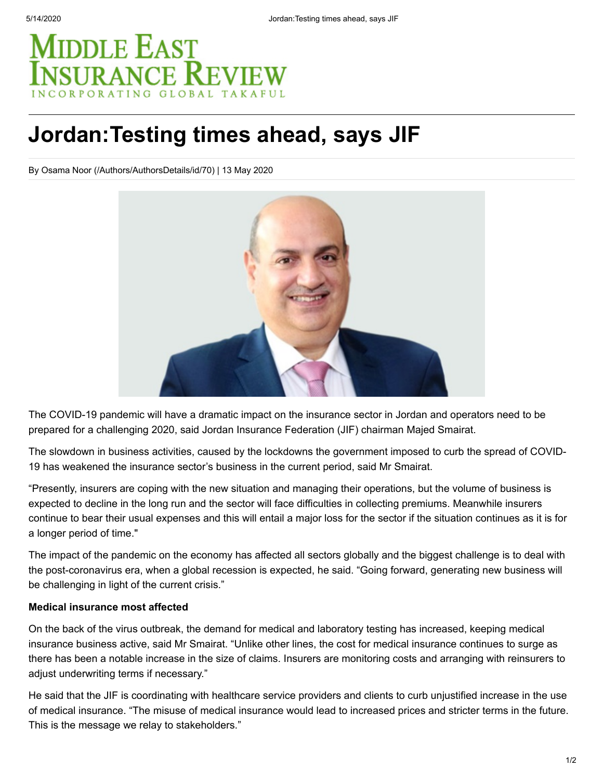# **MIDDLE EAST SURANCE REVIE**

# **Jordan:Testing times ahead, says JIF**

[By Osama Noor \(/Authors/AuthorsDetails/id/70\)](https://www.meinsurancereview.com/Authors/AuthorsDetails/id/70) | 13 May 2020



The COVID-19 pandemic will have a dramatic impact on the insurance sector in Jordan and operators need to be prepared for a challenging 2020, said Jordan Insurance Federation (JIF) chairman Majed Smairat.

The slowdown in business activities, caused by the lockdowns the government imposed to curb the spread of COVID-19 has weakened the insurance sector's business in the current period, said Mr Smairat.

"Presently, insurers are coping with the new situation and managing their operations, but the volume of business is expected to decline in the long run and the sector will face difficulties in collecting premiums. Meanwhile insurers continue to bear their usual expenses and this will entail a major loss for the sector if the situation continues as it is for a longer period of time."

The impact of the pandemic on the economy has affected all sectors globally and the biggest challenge is to deal with the post-coronavirus era, when a global recession is expected, he said. "Going forward, generating new business will be challenging in light of the current crisis."

### **Medical insurance most affected**

On the back of the virus outbreak, the demand for medical and laboratory testing has increased, keeping medical insurance business active, said Mr Smairat. "Unlike other lines, the cost for medical insurance continues to surge as there has been a notable increase in the size of claims. Insurers are monitoring costs and arranging with reinsurers to adjust underwriting terms if necessary."

He said that the JIF is coordinating with healthcare service providers and clients to curb unjustified increase in the use of medical insurance. "The misuse of medical insurance would lead to increased prices and stricter terms in the future. This is the message we relay to stakeholders."